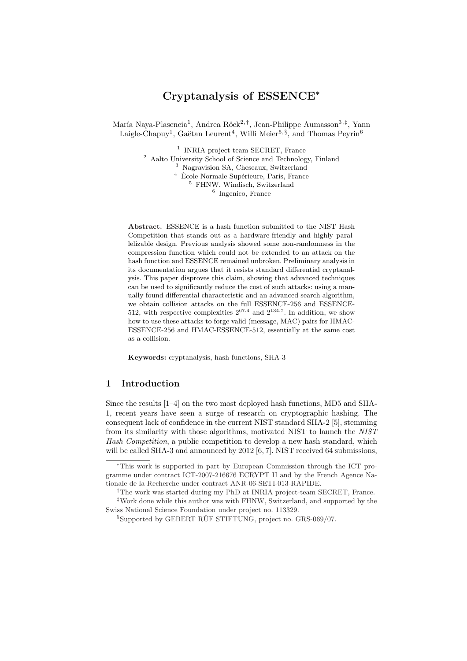# Cryptanalysis of ESSENCE<sup>∗</sup>

María Naya-Plasencia<sup>1</sup>, Andrea Röck<sup>2,†</sup>, Jean-Philippe Aumasson<sup>3,‡</sup>, Yann Laigle-Chapuy<sup>1</sup>, Gaëtan Leurent<sup>4</sup>, Willi Meier<sup>5, §</sup>, and Thomas Peyrin<sup>6</sup>

> <sup>1</sup> INRIA project-team SECRET, France Aalto University School of Science and Technology, Finland Nagravision SA, Cheseaux, Switzerland  $^4\,$ École Normale Supérieure, Paris, France FHNW, Windisch, Switzerland Ingenico, France

Abstract. ESSENCE is a hash function submitted to the NIST Hash Competition that stands out as a hardware-friendly and highly parallelizable design. Previous analysis showed some non-randomness in the compression function which could not be extended to an attack on the hash function and ESSENCE remained unbroken. Preliminary analysis in its documentation argues that it resists standard differential cryptanalysis. This paper disproves this claim, showing that advanced techniques can be used to significantly reduce the cost of such attacks: using a manually found differential characteristic and an advanced search algorithm, we obtain collision attacks on the full ESSENCE-256 and ESSENCE-512, with respective complexities  $2^{67.4}$  and  $2^{134.7}$ . In addition, we show how to use these attacks to forge valid (message, MAC) pairs for HMAC-ESSENCE-256 and HMAC-ESSENCE-512, essentially at the same cost as a collision.

Keywords: cryptanalysis, hash functions, SHA-3

### 1 Introduction

Since the results [1–4] on the two most deployed hash functions, MD5 and SHA-1, recent years have seen a surge of research on cryptographic hashing. The consequent lack of confidence in the current NIST standard SHA-2 [5], stemming from its similarity with those algorithms, motivated NIST to launch the NIST Hash Competition, a public competition to develop a new hash standard, which will be called SHA-3 and announced by 2012 [6, 7]. NIST received 64 submissions,

<sup>∗</sup>This work is supported in part by European Commission through the ICT programme under contract ICT-2007-216676 ECRYPT II and by the French Agence Nationale de la Recherche under contract ANR-06-SETI-013-RAPIDE.

<sup>†</sup>The work was started during my PhD at INRIA project-team SECRET, France. ‡Work done while this author was with FHNW, Switzerland, and supported by the Swiss National Science Foundation under project no. 113329.

 $\S$ Supported by GEBERT RÜF STIFTUNG, project no. GRS-069/07.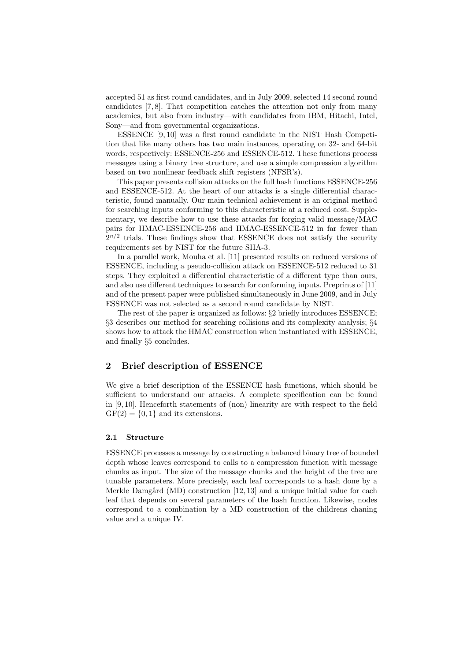accepted 51 as first round candidates, and in July 2009, selected 14 second round candidates [7, 8]. That competition catches the attention not only from many academics, but also from industry—with candidates from IBM, Hitachi, Intel, Sony—and from governmental organizations.

ESSENCE [9, 10] was a first round candidate in the NIST Hash Competition that like many others has two main instances, operating on 32- and 64-bit words, respectively: ESSENCE-256 and ESSENCE-512. These functions process messages using a binary tree structure, and use a simple compression algorithm based on two nonlinear feedback shift registers (NFSR's).

This paper presents collision attacks on the full hash functions ESSENCE-256 and ESSENCE-512. At the heart of our attacks is a single differential characteristic, found manually. Our main technical achievement is an original method for searching inputs conforming to this characteristic at a reduced cost. Supplementary, we describe how to use these attacks for forging valid message/MAC pairs for HMAC-ESSENCE-256 and HMAC-ESSENCE-512 in far fewer than  $2^{n/2}$  trials. These findings show that ESSENCE does not satisfy the security requirements set by NIST for the future SHA-3.

In a parallel work, Mouha et al. [11] presented results on reduced versions of ESSENCE, including a pseudo-collision attack on ESSENCE-512 reduced to 31 steps. They exploited a differential characteristic of a different type than ours, and also use different techniques to search for conforming inputs. Preprints of [11] and of the present paper were published simultaneously in June 2009, and in July ESSENCE was not selected as a second round candidate by NIST.

The rest of the paper is organized as follows: §2 briefly introduces ESSENCE; §3 describes our method for searching collisions and its complexity analysis; §4 shows how to attack the HMAC construction when instantiated with ESSENCE, and finally §5 concludes.

### 2 Brief description of ESSENCE

We give a brief description of the ESSENCE hash functions, which should be sufficient to understand our attacks. A complete specification can be found in [9, 10]. Henceforth statements of (non) linearity are with respect to the field  $GF(2) = \{0, 1\}$  and its extensions.

#### 2.1 Structure

ESSENCE processes a message by constructing a balanced binary tree of bounded depth whose leaves correspond to calls to a compression function with message chunks as input. The size of the message chunks and the height of the tree are tunable parameters. More precisely, each leaf corresponds to a hash done by a Merkle Damgård (MD) construction  $[12, 13]$  and a unique initial value for each leaf that depends on several parameters of the hash function. Likewise, nodes correspond to a combination by a MD construction of the childrens chaning value and a unique IV.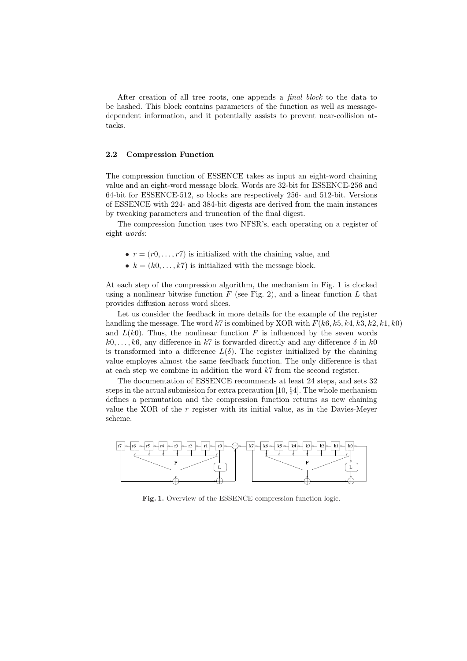After creation of all tree roots, one appends a *final block* to the data to be hashed. This block contains parameters of the function as well as messagedependent information, and it potentially assists to prevent near-collision attacks.

#### 2.2 Compression Function

The compression function of ESSENCE takes as input an eight-word chaining value and an eight-word message block. Words are 32-bit for ESSENCE-256 and 64-bit for ESSENCE-512, so blocks are respectively 256- and 512-bit. Versions of ESSENCE with 224- and 384-bit digests are derived from the main instances by tweaking parameters and truncation of the final digest.

The compression function uses two NFSR's, each operating on a register of eight words:

- $r = (r0, \ldots, r7)$  is initialized with the chaining value, and
- $k = (k0, \ldots, k7)$  is initialized with the message block.

At each step of the compression algorithm, the mechanism in Fig. 1 is clocked using a nonlinear bitwise function  $F$  (see Fig. 2), and a linear function  $L$  that provides diffusion across word slices.

Let us consider the feedback in more details for the example of the register handling the message. The word k7 is combined by XOR with  $F(k6, k5, k4, k3, k2, k1, k0)$ and  $L(k0)$ . Thus, the nonlinear function F is influenced by the seven words  $k0, \ldots, k6$ , any difference in k7 is forwarded directly and any difference  $\delta$  in k0 is transformed into a difference  $L(\delta)$ . The register initialized by the chaining value employes almost the same feedback function. The only difference is that at each step we combine in addition the word  $k7$  from the second register.

The documentation of ESSENCE recommends at least 24 steps, and sets 32 steps in the actual submission for extra precaution [10, §4]. The whole mechanism defines a permutation and the compression function returns as new chaining value the XOR of the  $r$  register with its initial value, as in the Davies-Meyer scheme.



Fig. 1. Overview of the ESSENCE compression function logic.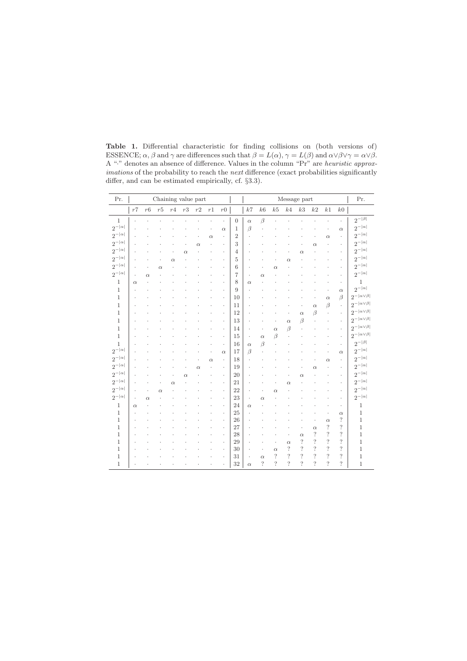Table 1. Differential characteristic for finding collisions on (both versions of) ESSENCE;  $\alpha$ ,  $\beta$  and  $\gamma$  are differences such that  $\beta = L(\alpha)$ ,  $\gamma = L(\beta)$  and  $\alpha \vee \beta \vee \gamma = \alpha \vee \beta$ . A "·" denotes an absence of difference. Values in the column "Pr" are heuristic approximations of the probability to reach the next difference (exact probabilities significantly differ, and can be estimated empirically, cf. §3.3).

| Pr.             |          |          |          |          |          | Chaining value part |          |                      |                |                |                          |            |                          | Message part   |                    |                |                          | Pr.                             |
|-----------------|----------|----------|----------|----------|----------|---------------------|----------|----------------------|----------------|----------------|--------------------------|------------|--------------------------|----------------|--------------------|----------------|--------------------------|---------------------------------|
|                 | $r7$     | r6       | r5       | r4       | r3       | r2                  | r1       | $r\mathbf{0}$        |                | k7             | k6                       | $k5\,$     | k4                       | k <sub>3</sub> | k2                 | k1             | k0                       |                                 |
| $\mathbf{1}$    |          |          |          |          |          |                     |          | $\ddot{\phantom{0}}$ | $\overline{0}$ | $\alpha$       | $\beta$                  |            |                          |                |                    |                |                          | $2^{- \overrightarrow{\beta} }$ |
| $2^{- \alpha }$ |          |          |          |          |          |                     |          | $\alpha$             | 1              | $\beta$        |                          |            |                          |                |                    |                | $\alpha$                 | $2^{- \alpha }$                 |
| $2^{- \alpha }$ |          |          |          |          |          |                     | $\alpha$ | $\blacksquare$       | $\overline{2}$ |                |                          |            |                          |                |                    | $\alpha$       | $\blacksquare$           | $2^{- \alpha }$                 |
| $2^{- \alpha }$ |          |          |          |          |          | $\alpha$            |          |                      | 3              |                |                          |            |                          |                | $\alpha$           |                |                          | $2^{- \alpha }$                 |
| $2^{- \alpha }$ |          |          |          |          | $\alpha$ |                     |          |                      | 4              |                |                          |            |                          | $\alpha$       |                    |                |                          | $2^{- \alpha }$                 |
| $2^{- \alpha }$ |          |          |          | $\alpha$ |          |                     |          |                      | 5              |                |                          |            | $\alpha$                 |                |                    |                | $\ddot{\phantom{0}}$     | $2^{- \alpha }$                 |
| $2^{- \alpha }$ |          |          | $\alpha$ |          |          |                     |          |                      | 6              |                |                          | $\alpha$   |                          |                |                    |                |                          | $2^{- \alpha }$                 |
| $2^{- \alpha }$ |          | $\alpha$ |          |          |          |                     |          |                      | 7              | $\cdot$        | $\alpha$                 |            |                          |                |                    |                |                          | $2^{- \alpha }$                 |
| 1               | $\alpha$ |          |          |          |          |                     |          |                      | 8              | $\alpha$       |                          |            |                          |                |                    |                |                          | 1                               |
| $\mathbf{1}$    |          |          |          |          |          |                     |          |                      | 9              |                |                          |            |                          |                |                    |                | $\alpha$                 | $2^{- \alpha }$                 |
| $\mathbf{1}$    |          |          |          |          |          |                     |          |                      | 10             |                |                          |            |                          |                |                    | $\alpha$       | $\beta$                  | $2^{- \alpha\vee\beta }$        |
| $\mathbf{1}$    |          |          |          |          |          |                     |          |                      | 11             |                |                          |            |                          |                | $\alpha$           | $\beta$        | $\ddot{\phantom{0}}$     | $2^{- \alpha\vee\beta }$        |
| 1               |          |          |          |          |          |                     |          |                      | 12             |                |                          |            |                          | $\alpha$       | $\beta$            |                | $\ddot{\phantom{0}}$     | $2^{- \alpha\vee\beta }$        |
| 1               |          |          |          |          |          |                     |          |                      | 13             |                |                          |            | $\alpha$                 | $\beta$        |                    |                |                          | $2^{- \alpha \vee \beta }$      |
| 1               |          |          |          |          |          |                     |          | $\ddot{\phantom{a}}$ | 14             |                |                          | $\alpha$   | B                        |                |                    |                |                          | $2^{- \alpha\vee\beta }$        |
| $\mathbf{1}$    |          |          |          |          |          |                     |          | $\cdot$              | 15             | $\cdot$        | $\alpha$                 | $\beta$    |                          |                |                    |                | $\ddot{\phantom{0}}$     | $2^{- \alpha \vee \beta }$      |
| $\mathbf{1}$    |          |          |          |          |          |                     |          | $\blacksquare$       | 16             | $\alpha$       | $\beta$                  |            |                          |                |                    |                | $\cdot$                  | $2^{- \beta }$                  |
| $2^{- \alpha }$ |          |          |          |          |          |                     |          | $\alpha$             | 17             | $\beta$        |                          |            |                          |                |                    |                | $\alpha$                 | $2^{- \alpha }$                 |
| $2^{- \alpha }$ |          |          |          |          |          |                     | $\alpha$ | $\cdot$              | 18             |                |                          |            |                          |                |                    | $\alpha$       |                          | $2^{- \alpha }$                 |
| $2^{- \alpha }$ |          |          |          |          |          | $\alpha$            |          | $\ddot{\phantom{a}}$ | 19             |                |                          |            |                          |                | $\alpha$           |                |                          | $2^{- \alpha }$                 |
| $2^{- \alpha }$ |          |          |          |          | $\alpha$ |                     |          |                      | 20             |                |                          |            |                          | $\alpha$       |                    |                |                          | $2^{- \alpha }$                 |
| $2^{- \alpha }$ |          |          |          | $\alpha$ |          |                     |          |                      | 21             |                |                          |            | $\alpha$                 |                |                    |                |                          | $2^{- \alpha }$                 |
| $2^{- \alpha }$ |          |          | $\alpha$ |          |          |                     |          |                      | 22             |                |                          | $\alpha$   |                          |                |                    |                |                          | $2^{- \alpha }$                 |
| $2^{- \alpha }$ |          | $\alpha$ |          |          |          |                     |          |                      | 23             | $\cdot$        | $\alpha$                 |            |                          |                |                    |                |                          | $2^{- \alpha }$                 |
| $\mathbf{1}$    | $\alpha$ |          |          |          |          |                     |          |                      | 24             | $\alpha$       |                          |            |                          |                |                    |                |                          | $\mathbf{1}$                    |
| $\mathbf{1}$    |          |          |          |          |          |                     |          |                      | 25             |                |                          |            |                          |                |                    |                | $\alpha$                 | $\mathbf{1}$                    |
| $\mathbf{1}$    |          |          |          |          |          |                     |          |                      | 26             |                |                          |            |                          |                |                    | $\alpha$       | $\ddot{?}$               | $\mathbf{1}$                    |
| $\mathbf{1}$    |          |          |          |          |          |                     |          |                      | 27             |                |                          |            |                          |                | $\alpha$           | $\ddot{?}$     | $\ddot{?}$               | $\mathbf{1}$                    |
| 1               |          |          |          |          |          |                     |          |                      | 28             |                |                          |            |                          | $\alpha$       | $\cdot$            | $\ddot{?}$     | $\overline{\mathcal{E}}$ | $\mathbf{1}$                    |
| 1               |          |          |          |          |          |                     |          |                      | 29             |                |                          |            | $\alpha$                 | $\ddot{?}$     | $\overline{\cdot}$ | $\ddot{?}$     | $\ddot{?}$               | $\mathbf{1}$                    |
| 1               |          |          |          |          |          |                     |          |                      | 30             |                |                          | $\alpha$   | ?                        | $\ddot{?}$     | $\overline{\cdot}$ | $\ddot{?}$     | $\ddot{?}$               | $\mathbf{1}$                    |
| 1               |          |          |          |          |          |                     |          |                      | 31             | $\blacksquare$ | $\alpha$                 | $\ddot{?}$ | $\overline{\mathcal{L}}$ | $\ddot{?}$     | $\overline{\cdot}$ | $\ddot{?}$     | $\overline{\mathcal{L}}$ | $\mathbf{1}$                    |
| $\mathbf{1}$    |          |          |          |          |          |                     |          |                      | 32             | $\alpha$       | $\overline{\phantom{a}}$ | 2          | $\gamma$                 | $\gamma$       | $\gamma$           | $\overline{?}$ | $\overline{\phantom{a}}$ | $\,1$                           |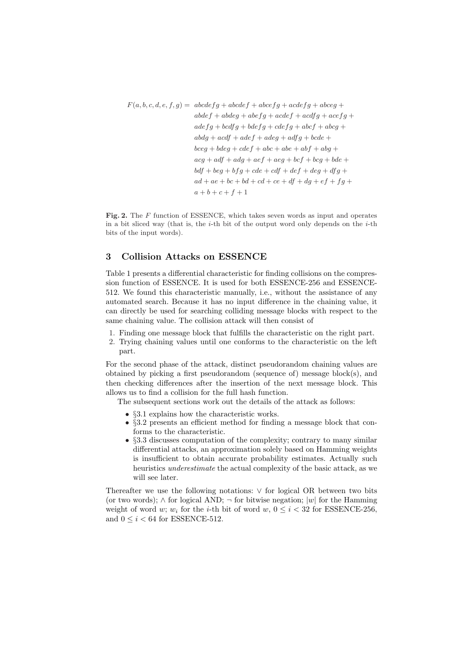$F(a, b, c, d, e, f, g) = abcdefg + abcdef + abcefg + acdefg + abceg +$  $abdef + abdeg + abefg + acdef + acdfg + acefg +$  $adefg + bcdfg + bdefg + cdefg + abcf + abcg +$  $abdg + acdf + adef + adeg + adfg + bcde +$  $bceq + bdeq + cdef + abc + abe + abf + abq +$  $acg + adf + adg + aef + aeg + bcf + bcg + bde +$  $bdf + beg + bfg + cde + cdf + def + deg + dfg +$  $ad + ae + bc + bd + cd + ce + df + dg + ef + fg +$  $a + b + c + f + 1$ 

Fig. 2. The F function of ESSENCE, which takes seven words as input and operates in a bit sliced way (that is, the  $i$ -th bit of the output word only depends on the  $i$ -th bits of the input words).

### 3 Collision Attacks on ESSENCE

Table 1 presents a differential characteristic for finding collisions on the compression function of ESSENCE. It is used for both ESSENCE-256 and ESSENCE-512. We found this characteristic manually, i.e., without the assistance of any automated search. Because it has no input difference in the chaining value, it can directly be used for searching colliding message blocks with respect to the same chaining value. The collision attack will then consist of

- 1. Finding one message block that fulfills the characteristic on the right part.
- 2. Trying chaining values until one conforms to the characteristic on the left part.

For the second phase of the attack, distinct pseudorandom chaining values are obtained by picking a first pseudorandom (sequence of) message block(s), and then checking differences after the insertion of the next message block. This allows us to find a collision for the full hash function.

The subsequent sections work out the details of the attack as follows:

- §3.1 explains how the characteristic works.
- §3.2 presents an efficient method for finding a message block that conforms to the characteristic.
- §3.3 discusses computation of the complexity; contrary to many similar differential attacks, an approximation solely based on Hamming weights is insufficient to obtain accurate probability estimates. Actually such heuristics underestimate the actual complexity of the basic attack, as we will see later.

Thereafter we use the following notations: ∨ for logical OR between two bits (or two words);  $\wedge$  for logical AND;  $\neg$  for bitwise negation; |w| for the Hamming weight of word w;  $w_i$  for the *i*-th bit of word  $w, 0 \leq i < 32$  for ESSENCE-256, and  $0 \leq i < 64$  for ESSENCE-512.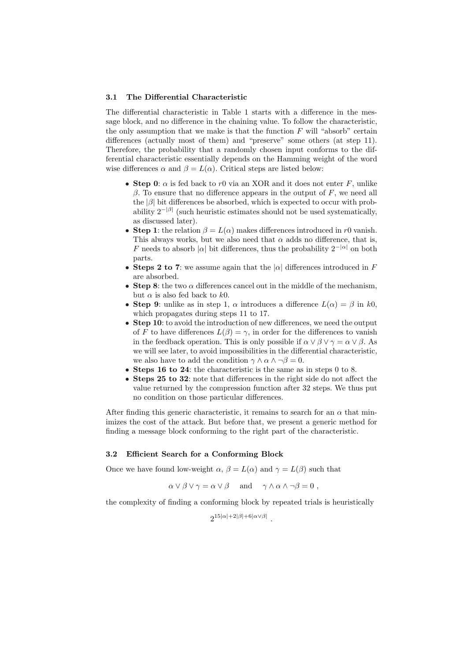#### 3.1 The Differential Characteristic

The differential characteristic in Table 1 starts with a difference in the message block, and no difference in the chaining value. To follow the characteristic, the only assumption that we make is that the function  $F$  will "absorb" certain differences (actually most of them) and "preserve" some others (at step 11). Therefore, the probability that a randomly chosen input conforms to the differential characteristic essentially depends on the Hamming weight of the word wise differences  $\alpha$  and  $\beta = L(\alpha)$ . Critical steps are listed below:

- Step 0:  $\alpha$  is fed back to r0 via an XOR and it does not enter F, unlike  $β$ . To ensure that no difference appears in the output of  $F$ , we need all the  $|\beta|$  bit differences be absorbed, which is expected to occur with probability  $2^{-|\beta|}$  (such heuristic estimates should not be used systematically, as discussed later).
- Step 1: the relation  $\beta = L(\alpha)$  makes differences introduced in r0 vanish. This always works, but we also need that  $\alpha$  adds no difference, that is, F needs to absorb  $|\alpha|$  bit differences, thus the probability  $2^{-|\alpha|}$  on both parts.
- Steps 2 to 7: we assume again that the  $|\alpha|$  differences introduced in F are absorbed.
- Step 8: the two  $\alpha$  differences cancel out in the middle of the mechanism, but  $\alpha$  is also fed back to  $k0$ .
- Step 9: unlike as in step 1,  $\alpha$  introduces a difference  $L(\alpha) = \beta$  in k0, which propagates during steps 11 to 17.
- Step 10: to avoid the introduction of new differences, we need the output of F to have differences  $L(\beta) = \gamma$ , in order for the differences to vanish in the feedback operation. This is only possible if  $\alpha \vee \beta \vee \gamma = \alpha \vee \beta$ . As we will see later, to avoid impossibilities in the differential characteristic, we also have to add the condition  $\gamma \wedge \alpha \wedge \neg \beta = 0$ .
- Steps 16 to 24: the characteristic is the same as in steps 0 to 8.
- Steps 25 to 32: note that differences in the right side do not affect the value returned by the compression function after 32 steps. We thus put no condition on those particular differences.

After finding this generic characteristic, it remains to search for an  $\alpha$  that minimizes the cost of the attack. But before that, we present a generic method for finding a message block conforming to the right part of the characteristic.

#### 3.2 Efficient Search for a Conforming Block

Once we have found low-weight  $\alpha$ ,  $\beta = L(\alpha)$  and  $\gamma = L(\beta)$  such that

$$
\alpha \vee \beta \vee \gamma = \alpha \vee \beta
$$
 and  $\gamma \wedge \alpha \wedge \neg \beta = 0$ ,

the complexity of finding a conforming block by repeated trials is heuristically

 $2^{15|\alpha|+2|\beta|+6|\alpha\vee\beta|}$ .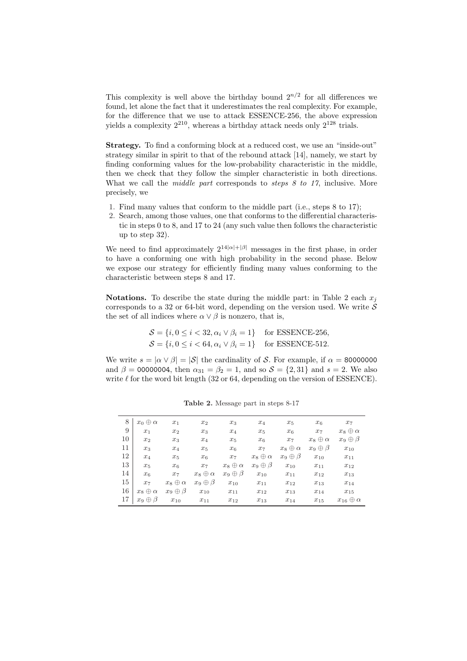This complexity is well above the birthday bound  $2^{n/2}$  for all differences we found, let alone the fact that it underestimates the real complexity. For example, for the difference that we use to attack ESSENCE-256, the above expression yields a complexity  $2^{210}$ , whereas a birthday attack needs only  $2^{128}$  trials.

Strategy. To find a conforming block at a reduced cost, we use an "inside-out" strategy similar in spirit to that of the rebound attack [14], namely, we start by finding conforming values for the low-probability characteristic in the middle, then we check that they follow the simpler characteristic in both directions. What we call the *middle part* corresponds to *steps 8 to 17*, inclusive. More precisely, we

- 1. Find many values that conform to the middle part (i.e., steps 8 to 17);
- 2. Search, among those values, one that conforms to the differential characteristic in steps 0 to 8, and 17 to 24 (any such value then follows the characteristic up to step 32).

We need to find approximately  $2^{14|\alpha|+|\beta|}$  messages in the first phase, in order to have a conforming one with high probability in the second phase. Below we expose our strategy for efficiently finding many values conforming to the characteristic between steps 8 and 17.

**Notations.** To describe the state during the middle part: in Table 2 each  $x_i$ corresponds to a 32 or 64-bit word, depending on the version used. We write  $\check{\mathcal{S}}$ the set of all indices where  $\alpha \vee \beta$  is nonzero, that is,

$$
S = \{i, 0 \le i < 32, \alpha_i \lor \beta_i = 1\} \quad \text{for ESSENCE-256},
$$
\n
$$
S = \{i, 0 \le i < 64, \alpha_i \lor \beta_i = 1\} \quad \text{for ESSENCE-512}.
$$

We write  $s = |\alpha \vee \beta| = |\mathcal{S}|$  the cardinality of S. For example, if  $\alpha = 80000000$ and  $\beta = 00000004$ , then  $\alpha_{31} = \beta_2 = 1$ , and so  $S = \{2, 31\}$  and  $s = 2$ . We also write  $\ell$  for the word bit length (32 or 64, depending on the version of ESSENCE).

| 8  | $x_0 \oplus \alpha$ | $x_1$               | $x_2$               | $x_3$               | $x_4$               | $x_5$               | $x_6$               | $x_7$                  |
|----|---------------------|---------------------|---------------------|---------------------|---------------------|---------------------|---------------------|------------------------|
| 9  | $x_1$               | $x_2$               | $x_3$               | $x_4$               | $x_{5}$             | $x_6$               | $x_7$               | $x_8 \oplus \alpha$    |
| 10 | $x_2$               | $x_3$               | $x_4$               | $x_{5}$             | $x_6$               | $x_7$               | $x_8 \oplus \alpha$ | $x_9 \oplus \beta$     |
| 11 | $x_3$               | $x_4$               | $x_{5}$             | x <sub>6</sub>      | $x_7$               | $x_8 \oplus \alpha$ | $x_9 \oplus \beta$  | $x_{10}$               |
| 12 | $x_4$               | $x_5$               | $x_6$               | $x_7$               | $x_8 \oplus \alpha$ | $x_9 \oplus \beta$  | $x_{10}$            | $x_{11}$               |
| 13 | $x_{5}$             | x <sub>6</sub>      | $x_7$               | $x_8 \oplus \alpha$ | $x_9 \oplus \beta$  | $x_{10}$            | $x_{11}$            | $x_{12}$               |
| 14 | $x_6$               | $x_7$               | $x_8 \oplus \alpha$ | $x_9 \oplus \beta$  | $x_{10}$            | $x_{11}$            | $x_{12}$            | $x_{13}$               |
| 15 | $x_7$               | $x_8 \oplus \alpha$ | $x_9 \oplus \beta$  | $x_{10}$            | $x_{11}$            | $x_{12}$            | $x_{13}$            | $x_{14}$               |
| 16 | $x_8 \oplus \alpha$ | $x_9 \oplus \beta$  | $x_{10}$            | $x_{11}$            | $x_{12}$            | $x_{13}$            | $x_{14}$            | $x_{15}$               |
| 17 | $x_9 \oplus \beta$  | $x_{10}$            | $x_{11}$            | $x_{12}$            | $x_{13}$            | $x_{14}$            | $x_{15}$            | $x_{16} \oplus \alpha$ |
|    |                     |                     |                     |                     |                     |                     |                     |                        |

Table 2. Message part in steps 8-17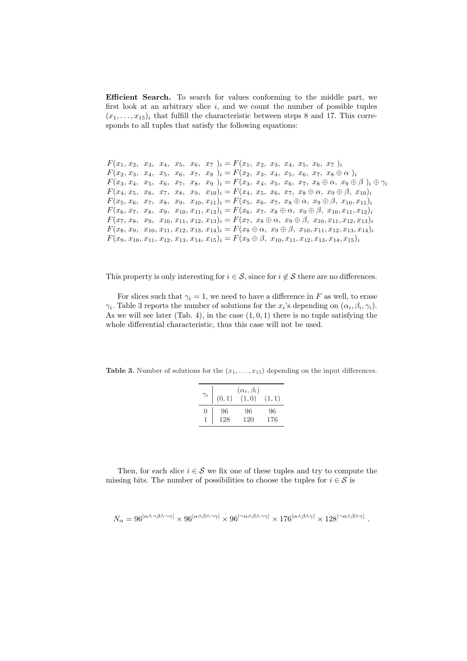Efficient Search. To search for values conforming to the middle part, we first look at an arbitrary slice  $i$ , and we count the number of possible tuples  $(x_1, \ldots, x_{15})_i$  that fulfill the characteristic between steps 8 and 17. This corresponds to all tuples that satisfy the following equations:

```
F(x_1, x_2, x_3, x_4, x_5, x_6, x_7)_{i} = F(x_1, x_2, x_3, x_4, x_5, x_6, x_7)_{i}F(x_2, x_3, x_4, x_5, x_6, x_7, x_8)<sub>i</sub> = F(x_2, x_3, x_4, x_5, x_6, x_7, x_8 \oplus \alpha)<sub>i</sub>
F(x_3, x_4, x_5, x_6, x_7, x_8, x_9)_{i} = F(x_3, x_4, x_5, x_6, x_7, x_8 \oplus \alpha, x_9 \oplus \beta)_{i} \oplus \gamma_iF(x_4, x_5, x_6, x_7, x_8, x_9, x_{10})_i = F(x_4, x_5, x_6, x_7, x_8 \oplus \alpha, x_9 \oplus \beta, x_{10})_iF(x_5, x_6, x_7, x_8, x_9, x_{10}, x_{11})_i = F(x_5, x_6, x_7, x_8 \oplus \alpha, x_9 \oplus \beta, x_{10}, x_{11})_iF(x_6, x_7, x_8, x_9, x_{10}, x_{11}, x_{12})_i = F(x_6, x_7, x_8 \oplus \alpha, x_9 \oplus \beta, x_{10}, x_{11}, x_{12})_iF(x_7, x_8, x_9, x_{10}, x_{11}, x_{12}, x_{13})_i = F(x_7, x_8 \oplus \alpha, x_9 \oplus \beta, x_{10}, x_{11}, x_{12}, x_{13})_iF(x_8, x_9, x_{10}, x_{11}, x_{12}, x_{13}, x_{14})_i = F(x_8 \oplus \alpha, x_9 \oplus \beta, x_{10}, x_{11}, x_{12}, x_{13}, x_{14})_iF(x_9, x_{10}, x_{11}, x_{12}, x_{13}, x_{14}, x_{15})_i = F(x_9 \oplus \beta, x_{10}, x_{11}, x_{12}, x_{13}, x_{14}, x_{15})_i
```
This property is only interesting for  $i \in \mathcal{S}$ , since for  $i \notin \mathcal{S}$  there are no differences.

For slices such that  $\gamma_i = 1$ , we need to have a difference in F as well, to erase  $\gamma_i$ . Table 3 reports the number of solutions for the  $x_i$ 's depending on  $(\alpha_i, \beta_i, \gamma_i)$ . As we will see later (Tab. 4), in the case  $(1, 0, 1)$  there is no tuple satisfying the whole differential characteristic, thus this case will not be used.

**Table 3.** Number of solutions for the  $(x_1, \ldots, x_{15})$  depending on the input differences.

| $\gamma_i$       | (0, 1) | $(\alpha_i, \beta_i)$<br>(1,0) | (1,1) |
|------------------|--------|--------------------------------|-------|
| $\left( \right)$ | 96     | 96                             | 96    |
|                  | 128    | 120                            | 176   |

Then, for each slice  $i \in \mathcal{S}$  we fix one of these tuples and try to compute the missing bits. The number of possibilities to choose the tuples for  $i \in \mathcal{S}$  is

$$
N_\alpha=96^{|\alpha\wedge\neg\beta\wedge\neg\gamma|}\times96^{|\alpha\wedge\beta\wedge\neg\gamma|}\times96^{|\neg\alpha\wedge\beta\wedge\neg\gamma|}\times176^{|\alpha\wedge\beta\wedge\gamma|}\times128^{|\neg\alpha\wedge\beta\wedge\gamma|}
$$

.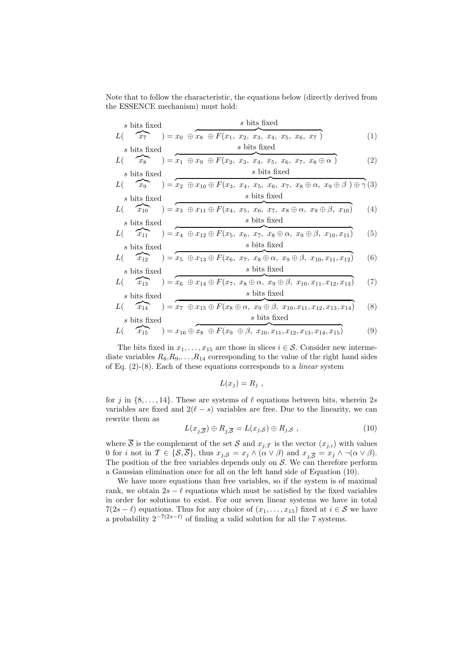Note that to follow the characteristic, the equations below (directly derived from the ESSENCE mechanism) must hold:

s bits fixed  
\n
$$
L(\overbrace{x_7}^{s \text{ bits fixed}}) = x_0 \oplus \overbrace{x_8 \oplus F(x_1, x_2, x_3, x_4, x_5, x_6, x_7)}^{s \text{ bits fixed}}
$$
\n(s bits fixed)  
\ns bits fixed  
\n(1)

s bits fixed  
\n
$$
L(\overbrace{x_8}^{s \text{ bits fixed}}) = x_1 \oplus x_9 \oplus F(x_2, x_3, x_4, x_5, x_6, x_7, x_8 \oplus \alpha)
$$
\n
$$
s \text{ bits fixed}
$$
\n(2)

s bits fixed  
\n
$$
L(\overbrace{x_9}^{s \text{ bits fixed}}) = x_2 \oplus x_{10} \oplus F(x_3, x_4, x_5, x_6, x_7, x_8 \oplus \alpha, x_9 \oplus \beta) \oplus \gamma(3)
$$
\ns bits fixed  
\ns bits fixed

$$
L(\widehat{x_{10}}) = x_3 \oplus x_{11} \oplus F(x_4, x_5, x_6, x_7, x_8 \oplus \alpha, x_9 \oplus \beta, x_{10})
$$
 (4)  
s bits fixed  
s bits fixed

$$
L\left(\begin{array}{c}\nx_{11} \\
x_{11}\n\end{array}\right) = x_4 \oplus x_{12} \oplus F(x_5, x_6, x_7, x_8 \oplus \alpha, x_9 \oplus \beta, x_{10}, x_{11})
$$
\n(5)

\ns bits fixed

$$
L\left(\begin{array}{c} x_{12} \\ x_{12} \end{array}\right) = x_5 \oplus x_{13} \oplus F(x_6, x_7, x_8 \oplus \alpha, x_9 \oplus \beta, x_{10}, x_{11}, x_{12})
$$
(6)  
s bits fixed  
s bits fixed

$$
L\left(\begin{array}{c}\n\overbrace{x_{13}}^{5 \text{ bits fixed}}\n\end{array}\right) = \overbrace{x_6 \oplus x_{14} \oplus F(x_7, x_8 \oplus \alpha, x_9 \oplus \beta, x_{10}, x_{11}, x_{12}, x_{13})}^{5 \text{ bits fixed}}\n\tag{7}
$$

s bits fixed  
\n
$$
L(\overbrace{x_{14}}^{s \text{ bits fixed}}) = \overbrace{x_7 \oplus x_{15} \oplus F(x_8 \oplus \alpha, x_9 \oplus \beta, x_{10}, x_{11}, x_{12}, x_{13}, x_{14})}^{s \text{ bits fixed}}
$$
\n(s)

$$
L\left(\begin{array}{c}\n\overbrace{x_{15}}\\
\overbrace{x_{15}}\n\end{array}\right) = x_{16} \oplus \overbrace{x_{8} \oplus F(x_{9} \oplus \beta, x_{10}, x_{11}, x_{12}, x_{13}, x_{14}, x_{15})} (9)
$$

The bits fixed in  $x_1, \ldots, x_{15}$  are those in slices  $i \in \mathcal{S}$ . Consider new intermediate variables  $R_8, R_9, \ldots, R_{14}$  corresponding to the value of the right hand sides of Eq.  $(2)-(8)$ . Each of these equations corresponds to a *linear* system

$$
L(x_j) = R_j \text{ ,}
$$

for j in  $\{8, \ldots, 14\}$ . These are systems of  $\ell$  equations between bits, wherein 2s variables are fixed and  $2(\ell - s)$  variables are free. Due to the linearity, we can rewrite them as

$$
L(x_{j,\overline{S}}) \oplus R_{j,\overline{S}} = L(x_{j,S}) \oplus R_{j,S} , \qquad (10)
$$

where  $\overline{S}$  is the complement of the set S and  $x_{j,\mathcal{T}}$  is the vector  $(x_{j,i})$  with values 0 for i not in  $\mathcal{T} \in \{S, \overline{S}\},\$  thus  $x_{j,S} = x_j \wedge (\alpha \vee \beta)$  and  $x_{j,\overline{S}} = x_j \wedge \neg(\alpha \vee \beta)$ . The position of the free variables depends only on  $S$ . We can therefore perform a Gaussian elimination once for all on the left hand side of Equation (10).

We have more equations than free variables, so if the system is of maximal rank, we obtain  $2s - \ell$  equations which must be satisfied by the fixed variables in order for solutions to exist. For our seven linear systems we have in total  $7(2s - \ell)$  equations. Thus for any choice of  $(x_1, \ldots, x_{15})$  fixed at  $i \in S$  we have a probability  $2^{-7(2s-\ell)}$  of finding a valid solution for all the 7 systems.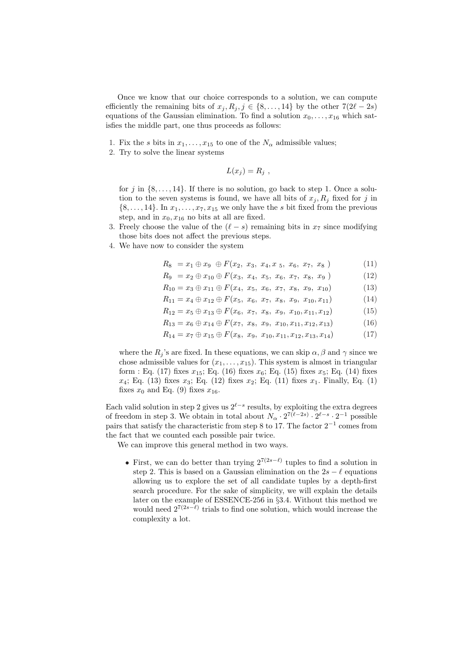Once we know that our choice corresponds to a solution, we can compute efficiently the remaining bits of  $x_j, R_j, j \in \{8, \ldots, 14\}$  by the other  $7(2\ell - 2s)$ equations of the Gaussian elimination. To find a solution  $x_0, \ldots, x_{16}$  which satisfies the middle part, one thus proceeds as follows:

- 1. Fix the s bits in  $x_1, \ldots, x_{15}$  to one of the  $N_\alpha$  admissible values;
- 2. Try to solve the linear systems

$$
L(x_j) = R_j \text{ ,}
$$

for j in  $\{8, \ldots, 14\}$ . If there is no solution, go back to step 1. Once a solution to the seven systems is found, we have all bits of  $x_j, R_j$  fixed for j in  $\{8, \ldots, 14\}$ . In  $x_1, \ldots, x_7, x_{15}$  we only have the s bit fixed from the previous step, and in  $x_0, x_{16}$  no bits at all are fixed.

- 3. Freely choose the value of the  $(\ell s)$  remaining bits in  $x_7$  since modifying those bits does not affect the previous steps.
- 4. We have now to consider the system

$$
R_8 = x_1 \oplus x_9 \oplus F(x_2, x_3, x_4, x_5, x_6, x_7, x_8) \tag{11}
$$

- $R_9 = x_2 \oplus x_{10} \oplus F(x_3, x_4, x_5, x_6, x_7, x_8, x_9)$  (12)
- $R_{10} = x_3 \oplus x_{11} \oplus F(x_4, x_5, x_6, x_7, x_8, x_9, x_{10})$  (13)
- $R_{11} = x_4 \oplus x_{12} \oplus F(x_5, x_6, x_7, x_8, x_9, x_{10}, x_{11})$  (14)
- $R_{12} = x_5 \oplus x_{13} \oplus F(x_6, x_7, x_8, x_9, x_{10}, x_{11}, x_{12})$  (15)
- $R_{13} = x_6 \oplus x_{14} \oplus F(x_7, x_8, x_9, x_{10}, x_{11}, x_{12}, x_{13})$  (16)
- $R_{14} = x_7 \oplus x_{15} \oplus F(x_8, x_9, x_{10}, x_{11}, x_{12}, x_{13}, x_{14})$  (17)

where the  $R_i$ 's are fixed. In these equations, we can skip  $\alpha, \beta$  and  $\gamma$  since we chose admissible values for  $(x_1, \ldots, x_{15})$ . This system is almost in triangular form : Eq. (17) fixes  $x_{15}$ ; Eq. (16) fixes  $x_6$ ; Eq. (15) fixes  $x_5$ ; Eq. (14) fixes  $x_4$ ; Eq. (13) fixes  $x_3$ ; Eq. (12) fixes  $x_2$ ; Eq. (11) fixes  $x_1$ . Finally, Eq. (1) fixes  $x_0$  and Eq. (9) fixes  $x_{16}$ .

Each valid solution in step 2 gives us  $2^{\ell-s}$  results, by exploiting the extra degrees of freedom in step 3. We obtain in total about  $N_\alpha \cdot 2^{7(\ell-2s)} \cdot 2^{\ell-s} \cdot 2^{-1}$  possible pairs that satisfy the characteristic from step 8 to 17. The factor  $2^{-1}$  comes from the fact that we counted each possible pair twice.

We can improve this general method in two ways.

• First, we can do better than trying  $2^{7(2s-\ell)}$  tuples to find a solution in step 2. This is based on a Gaussian elimination on the  $2s - \ell$  equations allowing us to explore the set of all candidate tuples by a depth-first search procedure. For the sake of simplicity, we will explain the details later on the example of ESSENCE-256 in §3.4. Without this method we would need  $2^{7(2s-\ell)}$  trials to find one solution, which would increase the complexity a lot.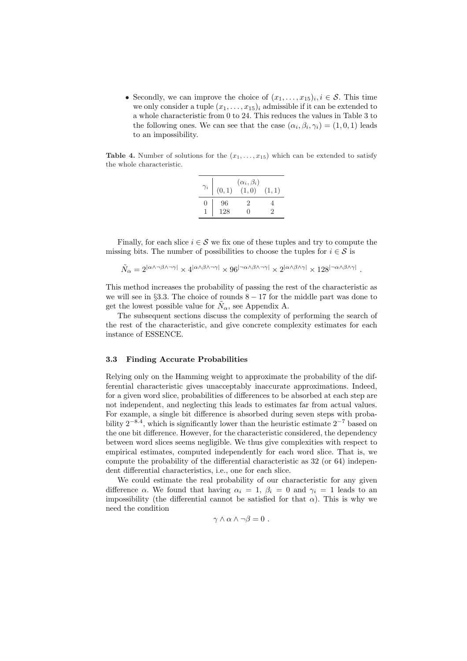• Secondly, we can improve the choice of  $(x_1, \ldots, x_{15})_i, i \in \mathcal{S}$ . This time we only consider a tuple  $(x_1, \ldots, x_{15})_i$  admissible if it can be extended to a whole characteristic from 0 to 24. This reduces the values in Table 3 to the following ones. We can see that the case  $(\alpha_i, \beta_i, \gamma_i) = (1, 0, 1)$  leads to an impossibility.

**Table 4.** Number of solutions for the  $(x_1, \ldots, x_{15})$  which can be extended to satisfy the whole characteristic.

| $\gamma_i$ | (0, 1)    | $(\alpha_i, \beta_i)$<br>(1,0)        | (1, 1) |
|------------|-----------|---------------------------------------|--------|
| ∩          | 96<br>128 | $\mathcal{D}_{\mathcal{L}}$<br>$\Box$ | 2      |

Finally, for each slice  $i \in \mathcal{S}$  we fix one of these tuples and try to compute the missing bits. The number of possibilities to choose the tuples for  $i \in \mathcal{S}$  is

$$
\tilde{N}_{\alpha}=2^{|\alpha\wedge\neg\beta\wedge\neg\gamma|}\times4^{|\alpha\wedge\beta\wedge\neg\gamma|}\times96^{|\neg\alpha\wedge\beta\wedge\neg\gamma|}\times2^{|\alpha\wedge\beta\wedge\gamma|}\times128^{|\neg\alpha\wedge\beta\wedge\gamma|}
$$

.

This method increases the probability of passing the rest of the characteristic as we will see in §3.3. The choice of rounds  $8 - 17$  for the middle part was done to get the lowest possible value for  $\tilde{N}_{\alpha}$ , see Appendix A.

The subsequent sections discuss the complexity of performing the search of the rest of the characteristic, and give concrete complexity estimates for each instance of ESSENCE.

#### 3.3 Finding Accurate Probabilities

Relying only on the Hamming weight to approximate the probability of the differential characteristic gives unacceptably inaccurate approximations. Indeed, for a given word slice, probabilities of differences to be absorbed at each step are not independent, and neglecting this leads to estimates far from actual values. For example, a single bit difference is absorbed during seven steps with probability  $2^{-8.4}$ , which is significantly lower than the heuristic estimate  $2^{-7}$  based on the one bit difference. However, for the characteristic considered, the dependency between word slices seems negligible. We thus give complexities with respect to empirical estimates, computed independently for each word slice. That is, we compute the probability of the differential characteristic as 32 (or 64) independent differential characteristics, i.e., one for each slice.

We could estimate the real probability of our characteristic for any given difference  $\alpha$ . We found that having  $\alpha_i = 1$ ,  $\beta_i = 0$  and  $\gamma_i = 1$  leads to an impossibility (the differential cannot be satisfied for that  $\alpha$ ). This is why we need the condition

$$
\gamma \wedge \alpha \wedge \neg \beta = 0 .
$$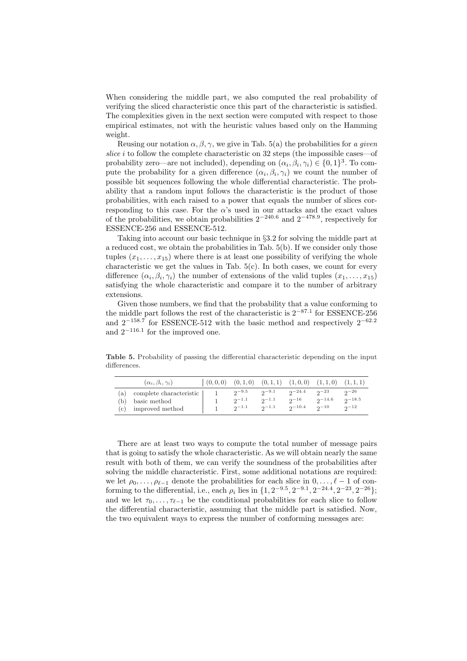When considering the middle part, we also computed the real probability of verifying the sliced characteristic once this part of the characteristic is satisfied. The complexities given in the next section were computed with respect to those empirical estimates, not with the heuristic values based only on the Hamming weight.

Reusing our notation  $\alpha$ ,  $\beta$ ,  $\gamma$ , we give in Tab. 5(a) the probabilities for a given slice i to follow the complete characteristic on  $32$  steps (the impossible cases—of probability zero—are not included), depending on  $(\alpha_i, \beta_i, \gamma_i) \in \{0, 1\}^3$ . To compute the probability for a given difference  $(\alpha_i, \beta_i, \gamma_i)$  we count the number of possible bit sequences following the whole differential characteristic. The probability that a random input follows the characteristic is the product of those probabilities, with each raised to a power that equals the number of slices corresponding to this case. For the  $\alpha$ 's used in our attacks and the exact values of the probabilities, we obtain probabilities  $2^{-240.6}$  and  $2^{-478.9}$ , respectively for ESSENCE-256 and ESSENCE-512.

Taking into account our basic technique in §3.2 for solving the middle part at a reduced cost, we obtain the probabilities in Tab. 5(b). If we consider only those tuples  $(x_1, \ldots, x_{15})$  where there is at least one possibility of verifying the whole characteristic we get the values in Tab.  $5(c)$ . In both cases, we count for every difference  $(\alpha_i, \beta_i, \gamma_i)$  the number of extensions of the valid tuples  $(x_1, \ldots, x_{15})$ satisfying the whole characteristic and compare it to the number of arbitrary extensions.

Given those numbers, we find that the probability that a value conforming to the middle part follows the rest of the characteristic is  $2^{-87.1}$  for ESSENCE-256 and  $2^{-158.7}$  for ESSENCE-512 with the basic method and respectively  $2^{-62.2}$ and  $2^{-116.1}$  for the improved one.

Table 5. Probability of passing the differential characteristic depending on the input differences.

|    | $(\alpha_i, \beta_i, \gamma_i)$                                                                        | $(0,0,0)$ $(0,1,0)$ $(0,1,1)$ $(1,0,0)$ $(1,1,0)$ $(1,1,1)$ |            |                         |                |                 |                 |
|----|--------------------------------------------------------------------------------------------------------|-------------------------------------------------------------|------------|-------------------------|----------------|-----------------|-----------------|
| a) | complete characteristic $\begin{array}{ccc} 1 & 2^{-9.5} & 2^{-9.1} & 2^{-24.4} & 2^{-23} \end{array}$ |                                                             |            |                         |                |                 | $2^{\circ}$     |
|    | (b) basic method                                                                                       |                                                             | $2^{-1.1}$ | $2^{-1.1}$              | $2^{-16}$      | $2^{\sim}$ 14.6 | $2^{\sim}$ 18.5 |
|    | (c) improved method                                                                                    |                                                             |            | $2^{j-1.1}$ $2^{j-1.1}$ | $2^{\sim}10.4$ | $2^{\sim}$ 10   | $2^{\sim}$      |

There are at least two ways to compute the total number of message pairs that is going to satisfy the whole characteristic. As we will obtain nearly the same result with both of them, we can verify the soundness of the probabilities after solving the middle characteristic. First, some additional notations are required: we let  $\rho_0, \ldots, \rho_{\ell-1}$  denote the probabilities for each slice in  $0, \ldots, \ell - 1$  of conforming to the differential, i.e., each  $\rho_i$  lies in  $\{1, 2^{-9.5}, 2^{-9.1}, 2^{-24.4}, 2^{-23}, 2^{-26}\};$ and we let  $\tau_0, \ldots, \tau_{\ell-1}$  be the conditional probabilities for each slice to follow the differential characteristic, assuming that the middle part is satisfied. Now, the two equivalent ways to express the number of conforming messages are: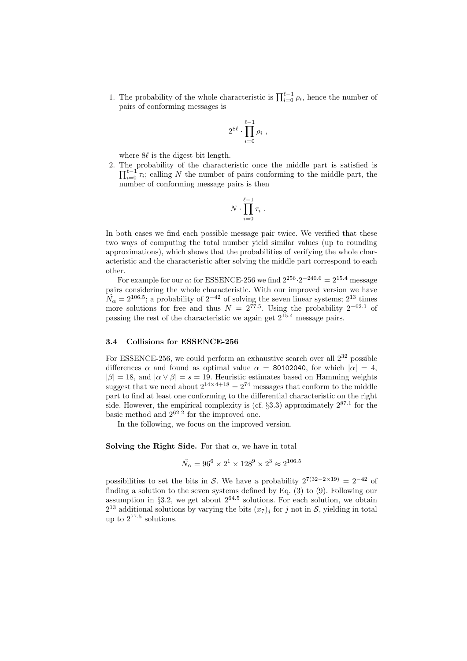1. The probability of the whole characteristic is  $\prod_{i=0}^{\ell-1} \rho_i$ , hence the number of pairs of conforming messages is

$$
2^{8\ell} \cdot \prod_{i=0}^{\ell-1} \rho_i ,
$$

where  $8\ell$  is the digest bit length.

2. The probability of the characteristic once the middle part is satisfied is  $\prod_{i=0}^{\ell-1} \tau_i$ ; calling N the number of pairs conforming to the middle part, the number of conforming message pairs is then

$$
N \cdot \prod_{i=0}^{\ell-1} \tau_i \ .
$$

In both cases we find each possible message pair twice. We verified that these two ways of computing the total number yield similar values (up to rounding approximations), which shows that the probabilities of verifying the whole characteristic and the characteristic after solving the middle part correspond to each other.

For example for our  $\alpha$ : for ESSENCE-256 we find  $2^{256} \cdot 2^{-240.6} = 2^{15.4}$  message pairs considering the whole characteristic. With our improved version we have  $\widetilde{N}_{\alpha} = 2^{106.5}$ ; a probability of  $2^{-42}$  of solving the seven linear systems;  $2^{13}$  times more solutions for free and thus  $N = 2^{77.5}$ . Using the probability  $2^{-62.1}$  of passing the rest of the characteristic we again get  $2^{15.4}$  message pairs.

#### 3.4 Collisions for ESSENCE-256

For ESSENCE-256, we could perform an exhaustive search over all  $2^{32}$  possible differences  $\alpha$  and found as optimal value  $\alpha = 80102040$ , for which  $|\alpha| = 4$ ,  $|\beta| = 18$ , and  $|\alpha \vee \beta| = s = 19$ . Heuristic estimates based on Hamming weights suggest that we need about  $2^{14\times4+18} = 2^{74}$  messages that conform to the middle part to find at least one conforming to the differential characteristic on the right side. However, the empirical complexity is (cf.  $\S 3.3$ ) approximately  $2^{87.1}$  for the basic method and  $2^{62.2}$  for the improved one.

In the following, we focus on the improved version.

Solving the Right Side. For that  $\alpha$ , we have in total

$$
\tilde{N_{\alpha}} = 96^6 \times 2^1 \times 128^9 \times 2^3 \approx 2^{106.5}
$$

possibilities to set the bits in S. We have a probability  $2^{7(32-2\times19)} = 2^{-42}$  of finding a solution to the seven systems defined by Eq. (3) to (9). Following our assumption in  $\S 3.2$ , we get about  $2^{64.5}$  solutions. For each solution, we obtain  $2^{13}$  additional solutions by varying the bits  $(x_7)_j$  for j not in S, yielding in total up to 2<sup>77</sup>.<sup>5</sup> solutions.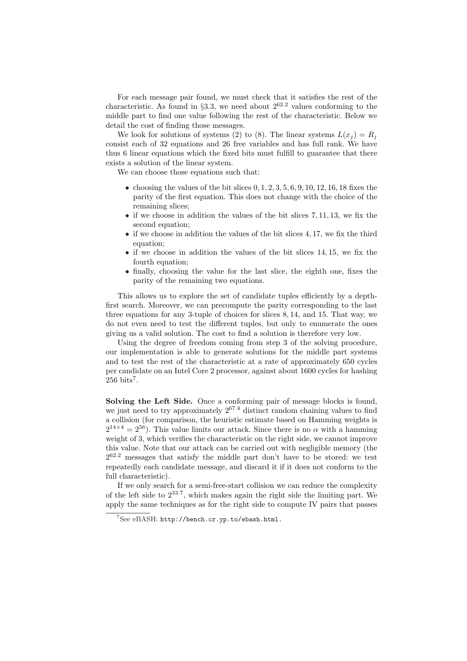For each message pair found, we must check that it satisfies the rest of the characteristic. As found in §3.3, we need about  $2^{62.2}$  values conforming to the middle part to find one value following the rest of the characteristic. Below we detail the cost of finding those messages.

We look for solutions of systems (2) to (8). The linear systems  $L(x_i) = R_i$ consist each of 32 equations and 26 free variables and has full rank. We have thus 6 linear equations which the fixed bits must fulfill to guarantee that there exists a solution of the linear system.

We can choose those equations such that:

- choosing the values of the bit slices  $0, 1, 2, 3, 5, 6, 9, 10, 12, 16, 18$  fixes the parity of the first equation. This does not change with the choice of the remaining slices;
- if we choose in addition the values of the bit slices 7, 11, 13, we fix the second equation;
- if we choose in addition the values of the bit slices 4, 17, we fix the third equation;
- if we choose in addition the values of the bit slices 14, 15, we fix the fourth equation;
- finally, choosing the value for the last slice, the eighth one, fixes the parity of the remaining two equations.

This allows us to explore the set of candidate tuples efficiently by a depthfirst search. Moreover, we can precompute the parity corresponding to the last three equations for any 3-tuple of choices for slices 8, 14, and 15. That way, we do not even need to test the different tuples, but only to enumerate the ones giving us a valid solution. The cost to find a solution is therefore very low.

Using the degree of freedom coming from step 3 of the solving procedure, our implementation is able to generate solutions for the middle part systems and to test the rest of the characteristic at a rate of approximately 650 cycles per candidate on an Intel Core 2 processor, against about 1600 cycles for hashing  $256 \text{ bits}^7$ .

Solving the Left Side. Once a conforming pair of message blocks is found, we just need to try approximately  $2^{67.4}$  distinct random chaining values to find a collision (for comparison, the heuristic estimate based on Hamming weights is  $2^{14\times4} = 2^{56}$ ). This value limits our attack. Since there is no  $\alpha$  with a hamming weight of 3, which verifies the characteristic on the right side, we cannot improve this value. Note that our attack can be carried out with negligible memory (the  $2^{62.2}$  messages that satisfy the middle part don't have to be stored: we test repeatedly each candidate message, and discard it if it does not conform to the full characteristic).

If we only search for a semi-free-start collision we can reduce the complexity of the left side to  $2^{33.7}$ , which makes again the right side the limiting part. We apply the same techniques as for the right side to compute IV pairs that passes

<sup>7</sup>See eBASH: http://bench.cr.yp.to/ebash.html.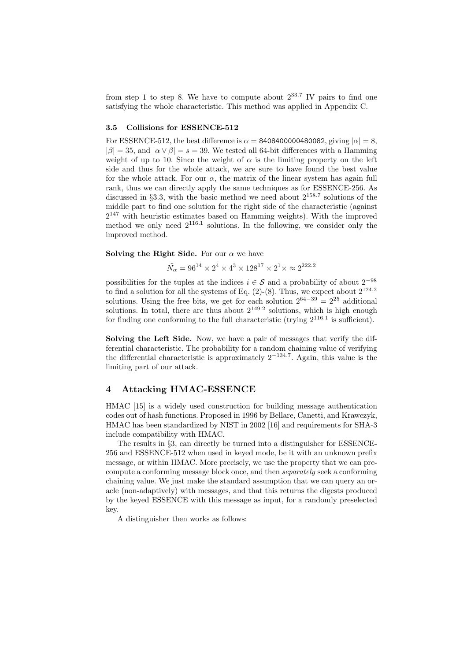from step 1 to step 8. We have to compute about  $2^{33.7}$  IV pairs to find one satisfying the whole characteristic. This method was applied in Appendix C.

#### 3.5 Collisions for ESSENCE-512

For ESSENCE-512, the best difference is  $\alpha = 8408400000480082$ , giving  $|\alpha| = 8$ ,  $|\beta| = 35$ , and  $|\alpha \vee \beta| = s = 39$ . We tested all 64-bit differences with a Hamming weight of up to 10. Since the weight of  $\alpha$  is the limiting property on the left side and thus for the whole attack, we are sure to have found the best value for the whole attack. For our  $\alpha$ , the matrix of the linear system has again full rank, thus we can directly apply the same techniques as for ESSENCE-256. As discussed in  $\S 3.3$ , with the basic method we need about  $2^{158.7}$  solutions of the middle part to find one solution for the right side of the characteristic (against  $2^{147}$  with heuristic estimates based on Hamming weights). With the improved method we only need  $2^{116.1}$  solutions. In the following, we consider only the improved method.

Solving the Right Side. For our  $\alpha$  we have

$$
\tilde{N_{\alpha}}=96^{14}\times 2^4\times 4^3\times 128^{17}\times 2^1\times \approx 2^{222.2}
$$

possibilities for the tuples at the indices  $i \in \mathcal{S}$  and a probability of about  $2^{-98}$ to find a solution for all the systems of Eq.  $(2)-(8)$ . Thus, we expect about  $2^{124.2}$ solutions. Using the free bits, we get for each solution  $2^{64-39} = 2^{25}$  additional solutions. In total, there are thus about  $2^{149.2}$  solutions, which is high enough for finding one conforming to the full characteristic (trying  $2^{116.1}$  is sufficient).

Solving the Left Side. Now, we have a pair of messages that verify the differential characteristic. The probability for a random chaining value of verifying the differential characteristic is approximately  $2^{-134.7}$ . Again, this value is the limiting part of our attack.

#### 4 Attacking HMAC-ESSENCE

HMAC [15] is a widely used construction for building message authentication codes out of hash functions. Proposed in 1996 by Bellare, Canetti, and Krawczyk, HMAC has been standardized by NIST in 2002 [16] and requirements for SHA-3 include compatibility with HMAC.

The results in §3, can directly be turned into a distinguisher for ESSENCE-256 and ESSENCE-512 when used in keyed mode, be it with an unknown prefix message, or within HMAC. More precisely, we use the property that we can precompute a conforming message block once, and then separately seek a conforming chaining value. We just make the standard assumption that we can query an oracle (non-adaptively) with messages, and that this returns the digests produced by the keyed ESSENCE with this message as input, for a randomly preselected key.

A distinguisher then works as follows: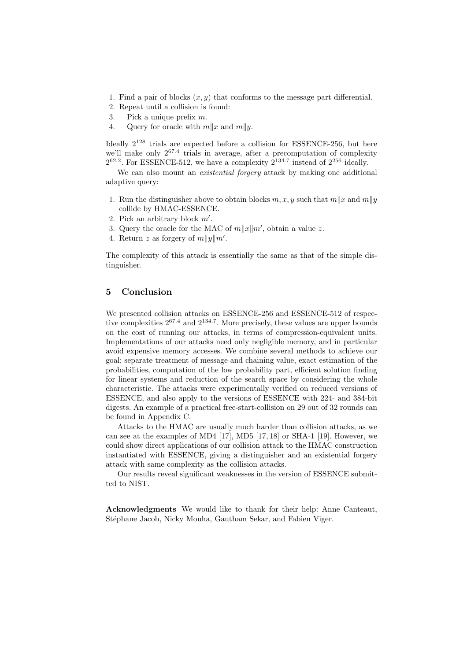- 1. Find a pair of blocks  $(x, y)$  that conforms to the message part differential.
- 2. Repeat until a collision is found:
- 3. Pick a unique prefix m.
- 4. Query for oracle with  $m||x$  and  $m||y$ .

Ideally  $2^{128}$  trials are expected before a collision for ESSENCE-256, but here we'll make only  $2^{67.4}$  trials in average, after a precomputation of complexity  $2^{62.2}$ . For ESSENCE-512, we have a complexity  $2^{134.7}$  instead of  $2^{256}$  ideally.

We can also mount an *existential forgery* attack by making one additional adaptive query:

- 1. Run the distinguisher above to obtain blocks  $m, x, y$  such that  $m||x$  and  $m||y$ collide by HMAC-ESSENCE.
- 2. Pick an arbitrary block  $m'$ .
- 3. Query the oracle for the MAC of  $m||x||m'$ , obtain a value z.
- 4. Return z as forgery of  $m||y||m'$ .

The complexity of this attack is essentially the same as that of the simple distinguisher.

### 5 Conclusion

We presented collision attacks on ESSENCE-256 and ESSENCE-512 of respective complexities  $2^{67.4}$  and  $2^{134.7}$ . More precisely, these values are upper bounds on the cost of running our attacks, in terms of compression-equivalent units. Implementations of our attacks need only negligible memory, and in particular avoid expensive memory accesses. We combine several methods to achieve our goal: separate treatment of message and chaining value, exact estimation of the probabilities, computation of the low probability part, efficient solution finding for linear systems and reduction of the search space by considering the whole characteristic. The attacks were experimentally verified on reduced versions of ESSENCE, and also apply to the versions of ESSENCE with 224- and 384-bit digests. An example of a practical free-start-collision on 29 out of 32 rounds can be found in Appendix C.

Attacks to the HMAC are usually much harder than collision attacks, as we can see at the examples of MD4  $[17]$ , MD5  $[17, 18]$  or SHA-1  $[19]$ . However, we could show direct applications of our collision attack to the HMAC construction instantiated with ESSENCE, giving a distinguisher and an existential forgery attack with same complexity as the collision attacks.

Our results reveal significant weaknesses in the version of ESSENCE submitted to NIST.

Acknowledgments We would like to thank for their help: Anne Canteaut, Stéphane Jacob, Nicky Mouha, Gautham Sekar, and Fabien Viger.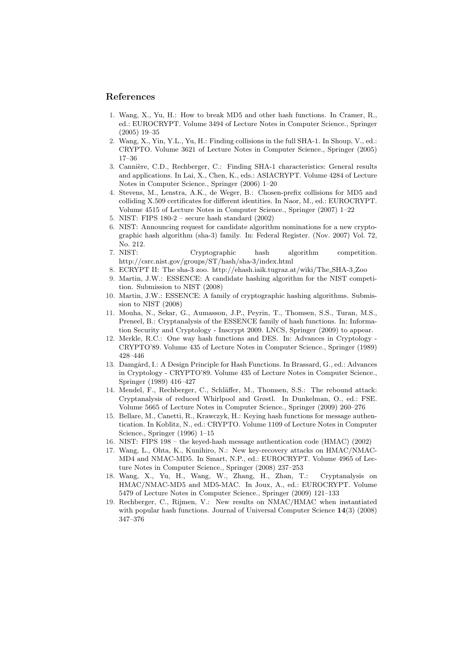#### References

- 1. Wang, X., Yu, H.: How to break MD5 and other hash functions. In Cramer, R., ed.: EUROCRYPT. Volume 3494 of Lecture Notes in Computer Science., Springer (2005) 19–35
- 2. Wang, X., Yin, Y.L., Yu, H.: Finding collisions in the full SHA-1. In Shoup, V., ed.: CRYPTO. Volume 3621 of Lecture Notes in Computer Science., Springer (2005) 17–36
- 3. Cannière, C.D., Rechberger, C.: Finding SHA-1 characteristics: General results and applications. In Lai, X., Chen, K., eds.: ASIACRYPT. Volume 4284 of Lecture Notes in Computer Science., Springer (2006) 1–20
- 4. Stevens, M., Lenstra, A.K., de Weger, B.: Chosen-prefix collisions for MD5 and colliding X.509 certificates for different identities. In Naor, M., ed.: EUROCRYPT. Volume 4515 of Lecture Notes in Computer Science., Springer (2007) 1–22
- 5. NIST: FIPS 180-2 secure hash standard (2002)
- 6. NIST: Announcing request for candidate algorithm nominations for a new cryptographic hash algorithm (sha-3) family. In: Federal Register. (Nov. 2007) Vol. 72, No. 212.
- 7. NIST: Cryptographic hash algorithm competition. http://csrc.nist.gov/groups/ST/hash/sha-3/index.html
- 8. ECRYPT II: The sha-3 zoo. http://ehash.iaik.tugraz.at/wiki/The SHA-3 Zoo
- 9. Martin, J.W.: ESSENCE: A candidate hashing algorithm for the NIST competition. Submission to NIST (2008)
- 10. Martin, J.W.: ESSENCE: A family of cryptographic hashing algorithms. Submission to NIST (2008)
- 11. Mouha, N., Sekar, G., Aumasson, J.P., Peyrin, T., Thomsen, S.S., Turan, M.S., Preneel, B.: Cryptanalysis of the ESSENCE family of hash functions. In: Information Security and Cryptology - Inscrypt 2009. LNCS, Springer (2009) to appear.
- 12. Merkle, R.C.: One way hash functions and DES. In: Advances in Cryptology CRYPTO'89. Volume 435 of Lecture Notes in Computer Science., Springer (1989) 428–446
- 13. Damgård, I.: A Design Principle for Hash Functions. In Brassard, G., ed.: Advances in Cryptology - CRYPTO'89. Volume 435 of Lecture Notes in Computer Science., Springer (1989) 416–427
- 14. Mendel, F., Rechberger, C., Schläffer, M., Thomsen, S.S.: The rebound attack: Cryptanalysis of reduced Whirlpool and Grøstl. In Dunkelman, O., ed.: FSE. Volume 5665 of Lecture Notes in Computer Science., Springer (2009) 260–276
- 15. Bellare, M., Canetti, R., Krawczyk, H.: Keying hash functions for message authentication. In Koblitz, N., ed.: CRYPTO. Volume 1109 of Lecture Notes in Computer Science., Springer (1996) 1–15
- 16. NIST: FIPS 198 the keyed-hash message authentication code (HMAC) (2002)
- 17. Wang, L., Ohta, K., Kunihiro, N.: New key-recovery attacks on HMAC/NMAC-MD4 and NMAC-MD5. In Smart, N.P., ed.: EUROCRYPT. Volume 4965 of Lecture Notes in Computer Science., Springer (2008) 237–253
- 18. Wang, X., Yu, H., Wang, W., Zhang, H., Zhan, T.: Cryptanalysis on HMAC/NMAC-MD5 and MD5-MAC. In Joux, A., ed.: EUROCRYPT. Volume 5479 of Lecture Notes in Computer Science., Springer (2009) 121–133
- 19. Rechberger, C., Rijmen, V.: New results on NMAC/HMAC when instantiated with popular hash functions. Journal of Universal Computer Science  $14(3)$  (2008) 347–376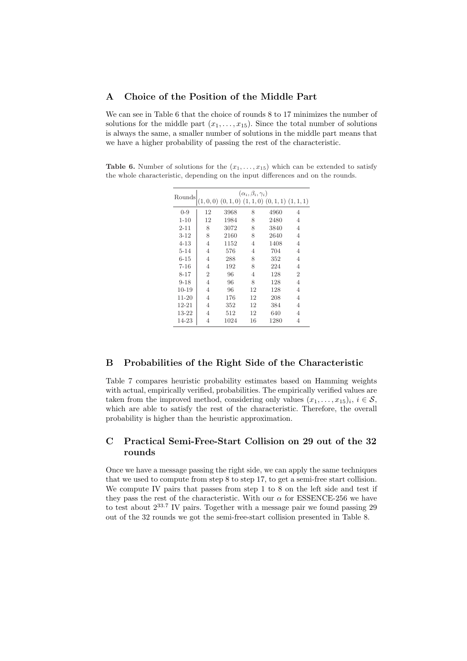### A Choice of the Position of the Middle Part

We can see in Table 6 that the choice of rounds 8 to 17 minimizes the number of solutions for the middle part  $(x_1, \ldots, x_{15})$ . Since the total number of solutions is always the same, a smaller number of solutions in the middle part means that we have a higher probability of passing the rest of the characteristic.

Table 6. Number of solutions for the  $(x_1, \ldots, x_{15})$  which can be extended to satisfy the whole characteristic, depending on the input differences and on the rounds.

| Rounds    |                |      | $(\alpha_i, \beta_i, \gamma_i)$<br>$(1,0,0)$ $(0,1,0)$ $(1,1,0)$ $(0,1,1)$ $(1,1,1)$ |      |                |
|-----------|----------------|------|--------------------------------------------------------------------------------------|------|----------------|
| $0 - 9$   | 12             | 3968 | 8                                                                                    | 4960 | 4              |
| $1 - 10$  | 12             | 1984 | 8                                                                                    | 2480 | 4              |
| $2 - 11$  | 8              | 3072 | 8                                                                                    | 3840 | 4              |
| $3 - 12$  | 8              | 2160 | 8                                                                                    | 2640 | 4              |
| $4 - 13$  | $\overline{4}$ | 1152 | $\overline{4}$                                                                       | 1408 | 4              |
| $5 - 14$  | $\overline{4}$ | 576  | $\overline{4}$                                                                       | 704  | 4              |
| $6 - 15$  | $\overline{4}$ | 288  | 8                                                                                    | 352  | 4              |
| $7 - 16$  | 4              | 192  | 8                                                                                    | 224  | 4              |
| $8 - 17$  | $\overline{2}$ | 96   | 4                                                                                    | 128  | $\overline{2}$ |
| $9 - 18$  | 4              | 96   | 8                                                                                    | 128  | 4              |
| $10 - 19$ | 4              | 96   | 12                                                                                   | 128  | 4              |
| $11 - 20$ | 4              | 176  | 12                                                                                   | 208  | 4              |
| $12 - 21$ | 4              | 352  | 12                                                                                   | 384  | 4              |
| 13-22     | 4              | 512  | 12                                                                                   | 640  | 4              |
| 14-23     | 4              | 1024 | 16                                                                                   | 1280 | 4              |

### B Probabilities of the Right Side of the Characteristic

Table 7 compares heuristic probability estimates based on Hamming weights with actual, empirically verified, probabilities. The empirically verified values are taken from the improved method, considering only values  $(x_1, \ldots, x_{15})_i, i \in \mathcal{S}$ , which are able to satisfy the rest of the characteristic. Therefore, the overall probability is higher than the heuristic approximation.

## C Practical Semi-Free-Start Collision on 29 out of the 32 rounds

Once we have a message passing the right side, we can apply the same techniques that we used to compute from step 8 to step 17, to get a semi-free start collision. We compute IV pairs that passes from step 1 to 8 on the left side and test if they pass the rest of the characteristic. With our  $\alpha$  for ESSENCE-256 we have to test about  $2^{33.7}$  IV pairs. Together with a message pair we found passing 29 out of the 32 rounds we got the semi-free-start collision presented in Table 8.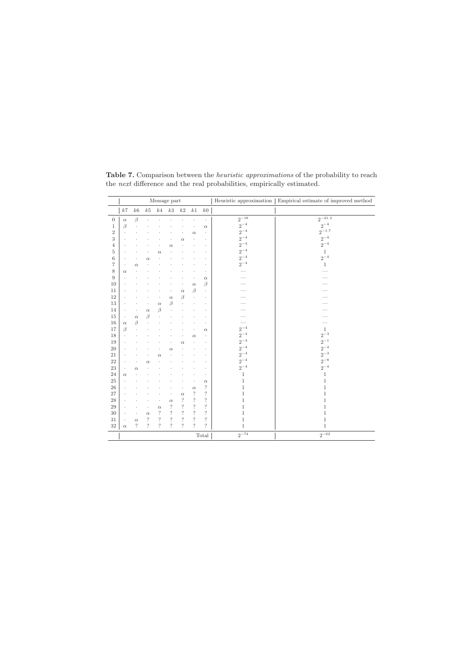|                  |                      |                    |                          |                          | Message part             |                          |                          |                          | Heuristic approximation | Empirical estimate of improved method |
|------------------|----------------------|--------------------|--------------------------|--------------------------|--------------------------|--------------------------|--------------------------|--------------------------|-------------------------|---------------------------------------|
|                  | k7                   | k6                 | $k5$                     |                          | $k4$ $k3$                | $k2$                     | k1                       | $k0$                     |                         |                                       |
| $\boldsymbol{0}$ | $\alpha$             | $\beta$            |                          |                          |                          |                          |                          | $\cdot$                  | $2^{-18}$               | $2^{-21.3}$                           |
| $\mathbf{1}$     | B                    |                    |                          |                          |                          |                          |                          | $\alpha$                 | $2^{\,-4}$              | $2^{-4}$                              |
| $\overline{2}$   |                      |                    |                          |                          |                          |                          | $\alpha$                 |                          | $2^{-4}$                | $2^{-1.7}$                            |
| 3                |                      |                    |                          |                          |                          | $\alpha$                 | $\ddot{\phantom{0}}$     |                          | $2^{-4}$                | $2^{-4}$                              |
| $\overline{4}$   |                      |                    |                          |                          | $\alpha$                 |                          |                          |                          | $2^{-4}$                | $2^{-4}$                              |
| 5                |                      |                    |                          | $\alpha$                 |                          |                          |                          |                          | $2^{-4}$                | $\mathbf{1}$                          |
| 6                |                      |                    | $\alpha$                 |                          |                          |                          |                          |                          | $2^{-4}$                | $2^{-4}$                              |
| 7                | $\ddot{\phantom{0}}$ | $\alpha$           |                          |                          |                          |                          |                          |                          | $2^{-4}$                | $\mathbf{1}$                          |
| $\,$ 8 $\,$      | $\alpha$             |                    |                          |                          |                          |                          |                          |                          |                         |                                       |
| 9                |                      |                    |                          |                          |                          |                          |                          | $\alpha$                 |                         |                                       |
| 10               |                      |                    |                          |                          |                          |                          | $\alpha$                 | $\beta$                  | $\sim$                  |                                       |
| 11               |                      |                    |                          |                          |                          | $\alpha$                 | $\beta$                  | $\ddot{\phantom{0}}$     |                         |                                       |
| 12               |                      |                    |                          |                          | $\alpha$                 | β                        | $\cdot$                  | ٠                        |                         |                                       |
| 13               |                      |                    |                          | $\alpha$                 | $\beta$                  |                          |                          |                          |                         |                                       |
| 14               | $\ddot{\phantom{0}}$ | $\bullet$          | $\alpha$                 | $\beta$                  |                          |                          |                          |                          |                         |                                       |
| 15               | $\cdot$              | $\alpha$           | β                        |                          |                          |                          |                          |                          |                         |                                       |
| 16               | $\alpha$             | $\beta$            |                          |                          |                          |                          |                          |                          |                         |                                       |
| 17               | $\beta$              |                    |                          |                          |                          |                          |                          | $\alpha$                 | $2^{\,-4}$              | $\mathbf{1}$                          |
| 18               |                      |                    |                          |                          |                          |                          | $\alpha$                 |                          | $2^{\,-4}$              | $2^{-3}$                              |
| 19               |                      |                    |                          |                          |                          | $\alpha$                 |                          |                          | $2^{\,-4}$              | $2^{-1}$                              |
| $20\,$           |                      |                    |                          |                          | $\alpha$                 |                          |                          |                          | $2^{-4}$                | $2^{\,-\,4}$                          |
| $21\,$           |                      |                    |                          | $\alpha$                 |                          |                          |                          |                          | $2^{\,-4}$              | $2^{-3}$                              |
| $22\,$           |                      |                    | $\alpha$                 |                          |                          |                          |                          |                          | $2^{-4}$                | $2^{-8}\,$                            |
| $23\,$           | $\ddot{\phantom{0}}$ | $\alpha$           |                          |                          |                          |                          |                          |                          | $2^{-4}$                | $2^{-4}$                              |
| 24               | $\alpha$             |                    |                          |                          |                          |                          |                          |                          | $1\,$                   | $\mathbf{1}$                          |
| $\rm 25$         |                      |                    |                          |                          |                          |                          |                          | $\alpha$                 | $\,1\,$                 | $\mathbf 1$                           |
| $\sqrt{26}$      |                      |                    |                          |                          |                          |                          | $\alpha$                 | ?                        | $\,1\,$                 | $\mathbf 1$                           |
| 27               |                      |                    |                          |                          |                          | $\alpha$                 | $\dot{?}$                | $\overline{\cdot}$       | $\mathbf 1$             | $\mathbf 1$                           |
| 28               |                      |                    |                          | $\ddot{\phantom{0}}$     | $\alpha$                 | $\ddot{?}$               | $\, ?$                   | $\overline{\cdot}$       | $\mathbf 1$             | $\mathbf 1$                           |
| 29               |                      |                    | $\ddot{\phantom{0}}$     | $\alpha$                 | $\overline{\cdot}$       | $\ddot{?}$               | $\, ?$                   | $\overline{\cdot}$       | $\mathbf 1$             | $\mathbf 1$                           |
| $30\,$           |                      | $\bullet$          | $\alpha$                 | $\, ?$                   | $\overline{\cdot}$       | $\overline{\cdot}$       | $\, ?$                   | $\overline{\cdot}$       | $\,1$                   | $\,1\,$                               |
| 31               |                      | $\alpha$           | ?                        | $\ddot{?}$               | $\overline{\cdot}$       | $\overline{\cdot}$       | $\overline{\cdot}$       | $\ddot{?}$               | $\mathbf 1$             | $\mathbf 1$                           |
| $32\,$           | $\alpha$             | $\overline{\cdot}$ | $\overline{\mathcal{C}}$ | $\overline{\phantom{a}}$ | $\overline{\phantom{a}}$ | $\overline{\mathcal{L}}$ | $\overline{\mathcal{L}}$ | $\overline{\mathcal{C}}$ | $\mathbf{1}$            | $\mathbf{1}$                          |
|                  |                      |                    |                          |                          |                          |                          |                          | Total                    | $2^{-74}$               | $2^{-62}$                             |

Table 7. Comparison between the *heuristic approximations* of the probability to reach the *next* difference and the real probabilities, empirically estimated.